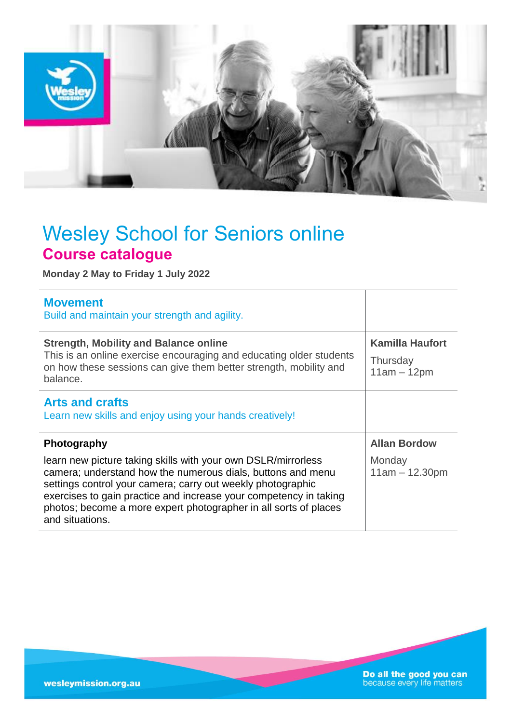

## Wesley School for Seniors online **Course catalogue**

**Monday 2 May to Friday 1 July 2022**

| <b>Movement</b><br>Build and maintain your strength and agility.                                                                                                                                                                                                                                                                                        |                                                     |
|---------------------------------------------------------------------------------------------------------------------------------------------------------------------------------------------------------------------------------------------------------------------------------------------------------------------------------------------------------|-----------------------------------------------------|
| <b>Strength, Mobility and Balance online</b><br>This is an online exercise encouraging and educating older students<br>on how these sessions can give them better strength, mobility and<br>balance.                                                                                                                                                    | <b>Kamilla Haufort</b><br>Thursday<br>$11am - 12pm$ |
| <b>Arts and crafts</b><br>Learn new skills and enjoy using your hands creatively!                                                                                                                                                                                                                                                                       |                                                     |
| <b>Photography</b>                                                                                                                                                                                                                                                                                                                                      | <b>Allan Bordow</b>                                 |
| learn new picture taking skills with your own DSLR/mirrorless<br>camera; understand how the numerous dials, buttons and menu<br>settings control your camera; carry out weekly photographic<br>exercises to gain practice and increase your competency in taking<br>photos; become a more expert photographer in all sorts of places<br>and situations. | Monday<br>$11am - 12.30pm$                          |

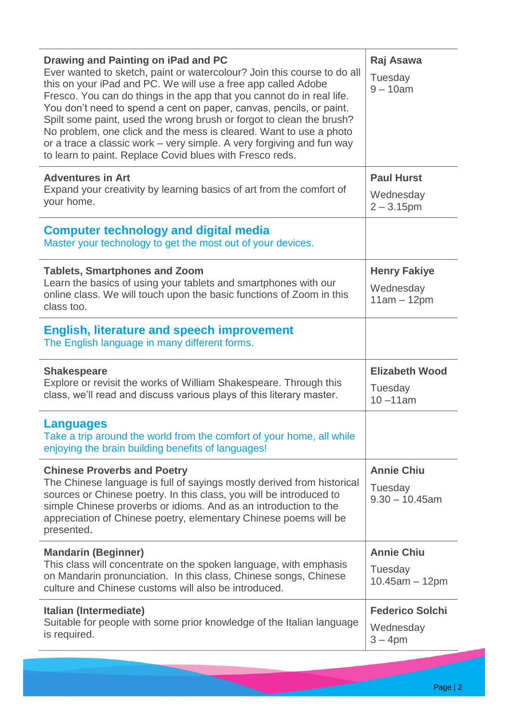| Drawing and Painting on iPad and PC<br>Ever wanted to sketch, paint or watercolour? Join this course to do all<br>this on your iPad and PC. We will use a free app called Adobe<br>Fresco. You can do things in the app that you cannot do in real life.<br>You don't need to spend a cent on paper, canvas, pencils, or paint.<br>Spilt some paint, used the wrong brush or forgot to clean the brush?<br>No problem, one click and the mess is cleared. Want to use a photo<br>or a trace a classic work – very simple. A very forgiving and fun way<br>to learn to paint. Replace Covid blues with Fresco reds. | Raj Asawa<br>Tuesday<br>$9 - 10$ am               |
|--------------------------------------------------------------------------------------------------------------------------------------------------------------------------------------------------------------------------------------------------------------------------------------------------------------------------------------------------------------------------------------------------------------------------------------------------------------------------------------------------------------------------------------------------------------------------------------------------------------------|---------------------------------------------------|
| <b>Adventures in Art</b><br>Expand your creativity by learning basics of art from the comfort of<br>your home.                                                                                                                                                                                                                                                                                                                                                                                                                                                                                                     | <b>Paul Hurst</b><br>Wednesday<br>$2 - 3.15$ pm   |
| <b>Computer technology and digital media</b><br>Master your technology to get the most out of your devices.                                                                                                                                                                                                                                                                                                                                                                                                                                                                                                        |                                                   |
| <b>Tablets, Smartphones and Zoom</b><br>Learn the basics of using your tablets and smartphones with our<br>online class. We will touch upon the basic functions of Zoom in this<br>class too.                                                                                                                                                                                                                                                                                                                                                                                                                      | <b>Henry Fakiye</b><br>Wednesday<br>$11am - 12pm$ |
| <b>English, literature and speech improvement</b><br>The English language in many different forms.                                                                                                                                                                                                                                                                                                                                                                                                                                                                                                                 |                                                   |
| <b>Shakespeare</b><br>Explore or revisit the works of William Shakespeare. Through this<br>class, we'll read and discuss various plays of this literary master.                                                                                                                                                                                                                                                                                                                                                                                                                                                    | <b>Elizabeth Wood</b><br>Tuesday<br>$10 - 11$ am  |
| <b>Languages</b><br>Take a trip around the world from the comfort of your home, all while<br>enjoying the brain building benefits of languages!                                                                                                                                                                                                                                                                                                                                                                                                                                                                    |                                                   |
| <b>Chinese Proverbs and Poetry</b><br>The Chinese language is full of sayings mostly derived from historical<br>sources or Chinese poetry. In this class, you will be introduced to<br>simple Chinese proverbs or idioms. And as an introduction to the<br>appreciation of Chinese poetry, elementary Chinese poems will be<br>presented.                                                                                                                                                                                                                                                                          | <b>Annie Chiu</b><br>Tuesday<br>$9.30 - 10.45$ am |
| <b>Mandarin (Beginner)</b><br>This class will concentrate on the spoken language, with emphasis<br>on Mandarin pronunciation. In this class, Chinese songs, Chinese<br>culture and Chinese customs will also be introduced.                                                                                                                                                                                                                                                                                                                                                                                        | <b>Annie Chiu</b><br>Tuesday<br>$10.45am - 12pm$  |
| Italian (Intermediate)<br>Suitable for people with some prior knowledge of the Italian language<br>is required.                                                                                                                                                                                                                                                                                                                                                                                                                                                                                                    | <b>Federico Solchi</b><br>Wednesday<br>$3 - 4$ pm |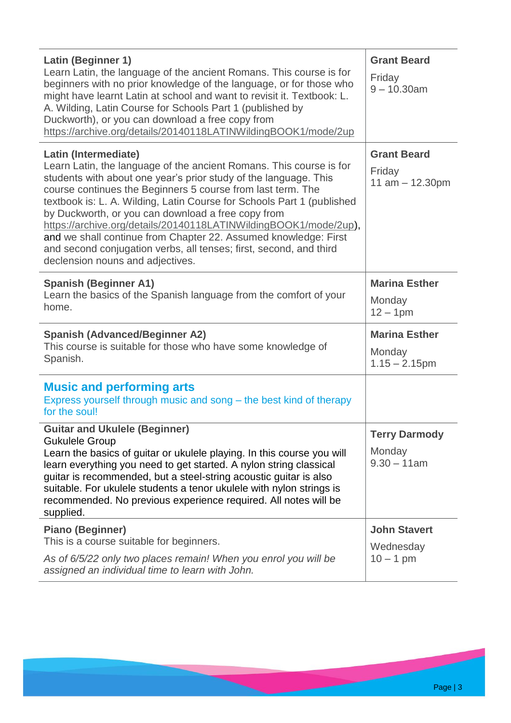| Latin (Beginner 1)<br>Learn Latin, the language of the ancient Romans. This course is for<br>beginners with no prior knowledge of the language, or for those who<br>might have learnt Latin at school and want to revisit it. Textbook: L.<br>A. Wilding, Latin Course for Schools Part 1 (published by<br>Duckworth), or you can download a free copy from<br>https://archive.org/details/20140118LATINWildingBOOK1/mode/2up                                                                                                                                                                                   | <b>Grant Beard</b><br>Friday<br>$9 - 10.30$ am     |
|-----------------------------------------------------------------------------------------------------------------------------------------------------------------------------------------------------------------------------------------------------------------------------------------------------------------------------------------------------------------------------------------------------------------------------------------------------------------------------------------------------------------------------------------------------------------------------------------------------------------|----------------------------------------------------|
| Latin (Intermediate)<br>Learn Latin, the language of the ancient Romans. This course is for<br>students with about one year's prior study of the language. This<br>course continues the Beginners 5 course from last term. The<br>textbook is: L. A. Wilding, Latin Course for Schools Part 1 (published<br>by Duckworth, or you can download a free copy from<br>https://archive.org/details/20140118LATINWildingBOOK1/mode/2up),<br>and we shall continue from Chapter 22. Assumed knowledge: First<br>and second conjugation verbs, all tenses; first, second, and third<br>declension nouns and adjectives. | <b>Grant Beard</b><br>Friday<br>11 $am - 12.30pm$  |
| <b>Spanish (Beginner A1)</b><br>Learn the basics of the Spanish language from the comfort of your<br>home.                                                                                                                                                                                                                                                                                                                                                                                                                                                                                                      | <b>Marina Esther</b><br>Monday<br>$12 - 1pm$       |
| <b>Spanish (Advanced/Beginner A2)</b><br>This course is suitable for those who have some knowledge of<br>Spanish.                                                                                                                                                                                                                                                                                                                                                                                                                                                                                               | <b>Marina Esther</b><br>Monday<br>$1.15 - 2.15$ pm |
| <b>Music and performing arts</b><br>Express yourself through music and song – the best kind of therapy<br>for the soul!                                                                                                                                                                                                                                                                                                                                                                                                                                                                                         |                                                    |
| <b>Guitar and Ukulele (Beginner)</b><br><b>Gukulele Group</b><br>Learn the basics of guitar or ukulele playing. In this course you will<br>learn everything you need to get started. A nylon string classical<br>guitar is recommended, but a steel-string acoustic guitar is also<br>suitable. For ukulele students a tenor ukulele with nylon strings is<br>recommended. No previous experience required. All notes will be<br>supplied.                                                                                                                                                                      | <b>Terry Darmody</b><br>Monday<br>$9.30 - 11$ am   |
| <b>Piano (Beginner)</b><br>This is a course suitable for beginners.                                                                                                                                                                                                                                                                                                                                                                                                                                                                                                                                             | <b>John Stavert</b>                                |
| As of 6/5/22 only two places remain! When you enrol you will be<br>assigned an individual time to learn with John.                                                                                                                                                                                                                                                                                                                                                                                                                                                                                              | Wednesday<br>$10 - 1$ pm                           |